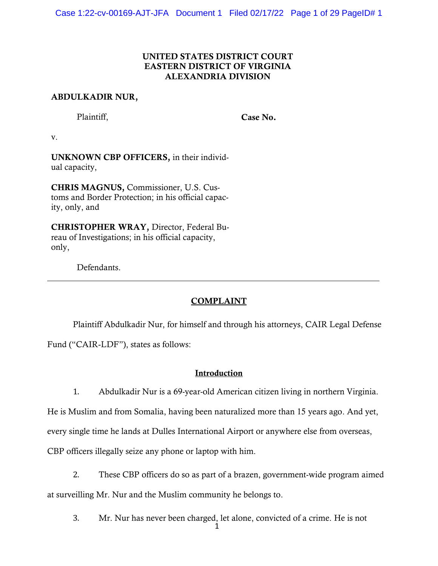### UNITED STATES DISTRICT COURT EASTERN DISTRICT OF VIRGINIA ALEXANDRIA DIVISION

### ABDULKADIR NUR,

Plaintiff,

Case No.

v.

UNKNOWN CBP OFFICERS, in their individual capacity,

CHRIS MAGNUS, Commissioner, U.S. Customs and Border Protection; in his official capacity, only, and

CHRISTOPHER WRAY, Director, Federal Bureau of Investigations; in his official capacity, only,

Defendants.

## **COMPLAINT**

Plaintiff Abdulkadir Nur, for himself and through his attorneys, CAIR Legal Defense

Fund ("CAIR‐LDF"), states as follows:

### Introduction

1. Abdulkadir Nur is a 69-year-old American citizen living in northern Virginia.

He is Muslim and from Somalia, having been naturalized more than 15 years ago. And yet,

every single time he lands at Dulles International Airport or anywhere else from overseas,

CBP officers illegally seize any phone or laptop with him.

2. These CBP officers do so as part of a brazen, government-wide program aimed at surveilling Mr. Nur and the Muslim community he belongs to.

3. Mr. Nur has never been charged, let alone, convicted of a crime. He is not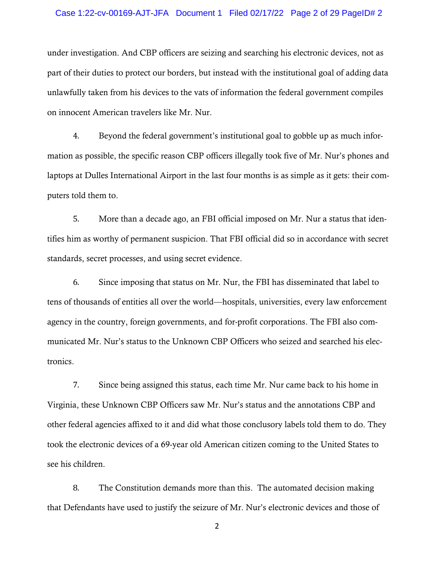#### Case 1:22-cv-00169-AJT-JFA Document 1 Filed 02/17/22 Page 2 of 29 PageID# 2

under investigation. And CBP officers are seizing and searching his electronic devices, not as part of their duties to protect our borders, but instead with the institutional goal of adding data unlawfully taken from his devices to the vats of information the federal government compiles on innocent American travelers like Mr. Nur.

4. Beyond the federal government's institutional goal to gobble up as much information as possible, the specific reason CBP officers illegally took five of Mr. Nur's phones and laptops at Dulles International Airport in the last four months is as simple as it gets: their computers told them to.

5. More than a decade ago, an FBI official imposed on Mr. Nur a status that identifies him as worthy of permanent suspicion. That FBI official did so in accordance with secret standards, secret processes, and using secret evidence.

6. Since imposing that status on Mr. Nur, the FBI has disseminated that label to tens of thousands of entities all over the world—hospitals, universities, every law enforcement agency in the country, foreign governments, and for-profit corporations. The FBI also communicated Mr. Nur's status to the Unknown CBP Officers who seized and searched his electronics.

7. Since being assigned this status, each time Mr. Nur came back to his home in Virginia, these Unknown CBP Officers saw Mr. Nur's status and the annotations CBP and other federal agencies affixed to it and did what those conclusory labels told them to do. They took the electronic devices of a 69-year old American citizen coming to the United States to see his children.

8. The Constitution demands more than this. The automated decision making that Defendants have used to justify the seizure of Mr. Nur's electronic devices and those of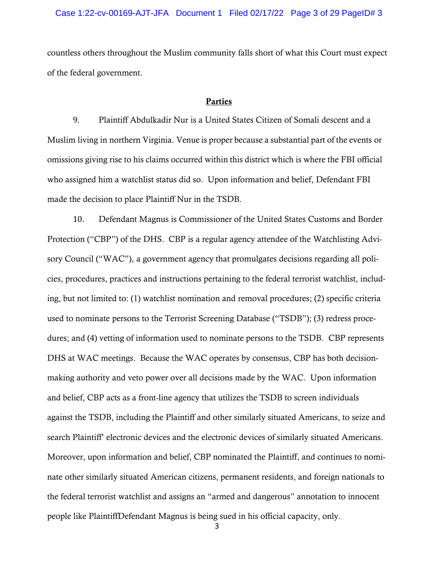countless others throughout the Muslim community falls short of what this Court must expect of the federal government.

#### Parties

9. Plaintiff Abdulkadir Nur is a United States Citizen of Somali descent and a Muslim living in northern Virginia. Venue is proper because a substantial part of the events or omissions giving rise to his claims occurred within this district which is where the FBI official who assigned him a watchlist status did so. Upon information and belief, Defendant FBI made the decision to place Plaintiff Nur in the TSDB.

10. Defendant Magnus is Commissioner of the United States Customs and Border Protection ("CBP") of the DHS. CBP is a regular agency attendee of the Watchlisting Advisory Council ("WAC"), a government agency that promulgates decisions regarding all policies, procedures, practices and instructions pertaining to the federal terrorist watchlist, including, but not limited to: (1) watchlist nomination and removal procedures; (2) specific criteria used to nominate persons to the Terrorist Screening Database ("TSDB"); (3) redress procedures; and (4) vetting of information used to nominate persons to the TSDB. CBP represents DHS at WAC meetings. Because the WAC operates by consensus, CBP has both decisionmaking authority and veto power over all decisions made by the WAC. Upon information and belief, CBP acts as a front-line agency that utilizes the TSDB to screen individuals against the TSDB, including the Plaintiff and other similarly situated Americans, to seize and search Plaintiff' electronic devices and the electronic devices of similarly situated Americans. Moreover, upon information and belief, CBP nominated the Plaintiff, and continues to nominate other similarly situated American citizens, permanent residents, and foreign nationals to the federal terrorist watchlist and assigns an "armed and dangerous" annotation to innocent people like PlaintiffDefendant Magnus is being sued in his official capacity, only.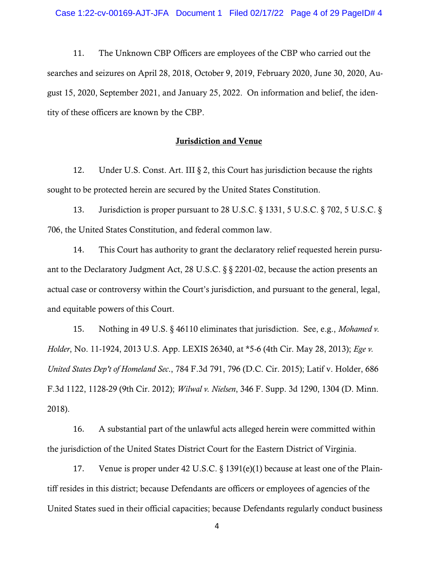11. The Unknown CBP Officers are employees of the CBP who carried out the searches and seizures on April 28, 2018, October 9, 2019, February 2020, June 30, 2020, August 15, 2020, September 2021, and January 25, 2022. On information and belief, the identity of these officers are known by the CBP.

### Jurisdiction and Venue

12. Under U.S. Const. Art. III § 2, this Court has jurisdiction because the rights sought to be protected herein are secured by the United States Constitution.

13. Jurisdiction is proper pursuant to 28 U.S.C. § 1331, 5 U.S.C. § 702, 5 U.S.C. § 706, the United States Constitution, and federal common law.

14. This Court has authority to grant the declaratory relief requested herein pursuant to the Declaratory Judgment Act, 28 U.S.C. § § 2201-02, because the action presents an actual case or controversy within the Court's jurisdiction, and pursuant to the general, legal, and equitable powers of this Court.

15. Nothing in 49 U.S. § 46110 eliminates that jurisdiction. See, e.g., *Mohamed v. Holder*, No. 11-1924, 2013 U.S. App. LEXIS 26340, at \*5-6 (4th Cir. May 28, 2013); *Ege v. United States Dep't of Homeland Sec*., 784 F.3d 791, 796 (D.C. Cir. 2015); Latif v. Holder, 686 F.3d 1122, 1128-29 (9th Cir. 2012); *Wilwal v. Nielsen*, 346 F. Supp. 3d 1290, 1304 (D. Minn. 2018).

16. A substantial part of the unlawful acts alleged herein were committed within the jurisdiction of the United States District Court for the Eastern District of Virginia.

17. Venue is proper under 42 U.S.C. § 1391(e)(1) because at least one of the Plaintiff resides in this district; because Defendants are officers or employees of agencies of the United States sued in their official capacities; because Defendants regularly conduct business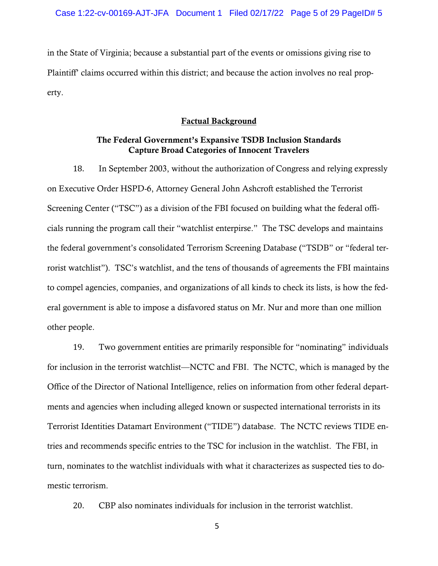in the State of Virginia; because a substantial part of the events or omissions giving rise to Plaintiff' claims occurred within this district; and because the action involves no real property.

#### Factual Background

### The Federal Government's Expansive TSDB Inclusion Standards Capture Broad Categories of Innocent Travelers

18. In September 2003, without the authorization of Congress and relying expressly on Executive Order HSPD-6, Attorney General John Ashcroft established the Terrorist Screening Center ("TSC") as a division of the FBI focused on building what the federal officials running the program call their "watchlist enterpirse." The TSC develops and maintains the federal government's consolidated Terrorism Screening Database ("TSDB" or "federal terrorist watchlist"). TSC's watchlist, and the tens of thousands of agreements the FBI maintains to compel agencies, companies, and organizations of all kinds to check its lists, is how the federal government is able to impose a disfavored status on Mr. Nur and more than one million other people.

19. Two government entities are primarily responsible for "nominating" individuals for inclusion in the terrorist watchlist—NCTC and FBI. The NCTC, which is managed by the Office of the Director of National Intelligence, relies on information from other federal departments and agencies when including alleged known or suspected international terrorists in its Terrorist Identities Datamart Environment ("TIDE") database. The NCTC reviews TIDE entries and recommends specific entries to the TSC for inclusion in the watchlist. The FBI, in turn, nominates to the watchlist individuals with what it characterizes as suspected ties to domestic terrorism.

20. CBP also nominates individuals for inclusion in the terrorist watchlist.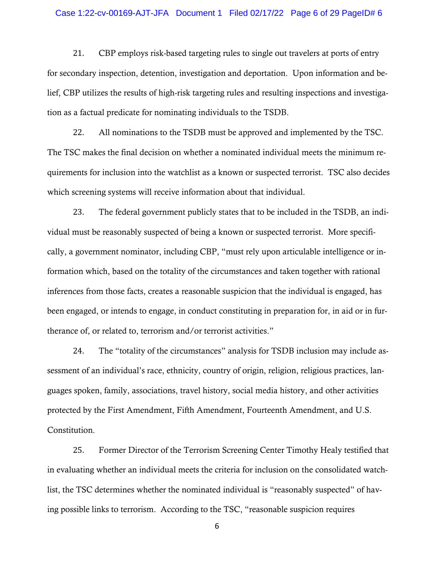### Case 1:22-cv-00169-AJT-JFA Document 1 Filed 02/17/22 Page 6 of 29 PageID# 6

21. CBP employs risk-based targeting rules to single out travelers at ports of entry for secondary inspection, detention, investigation and deportation. Upon information and belief, CBP utilizes the results of high-risk targeting rules and resulting inspections and investigation as a factual predicate for nominating individuals to the TSDB.

22. All nominations to the TSDB must be approved and implemented by the TSC. The TSC makes the final decision on whether a nominated individual meets the minimum requirements for inclusion into the watchlist as a known or suspected terrorist. TSC also decides which screening systems will receive information about that individual.

23. The federal government publicly states that to be included in the TSDB, an individual must be reasonably suspected of being a known or suspected terrorist. More specifically, a government nominator, including CBP, "must rely upon articulable intelligence or information which, based on the totality of the circumstances and taken together with rational inferences from those facts, creates a reasonable suspicion that the individual is engaged, has been engaged, or intends to engage, in conduct constituting in preparation for, in aid or in furtherance of, or related to, terrorism and/or terrorist activities."

24. The "totality of the circumstances" analysis for TSDB inclusion may include assessment of an individual's race, ethnicity, country of origin, religion, religious practices, languages spoken, family, associations, travel history, social media history, and other activities protected by the First Amendment, Fifth Amendment, Fourteenth Amendment, and U.S. Constitution.

25. Former Director of the Terrorism Screening Center Timothy Healy testified that in evaluating whether an individual meets the criteria for inclusion on the consolidated watchlist, the TSC determines whether the nominated individual is "reasonably suspected" of having possible links to terrorism. According to the TSC, "reasonable suspicion requires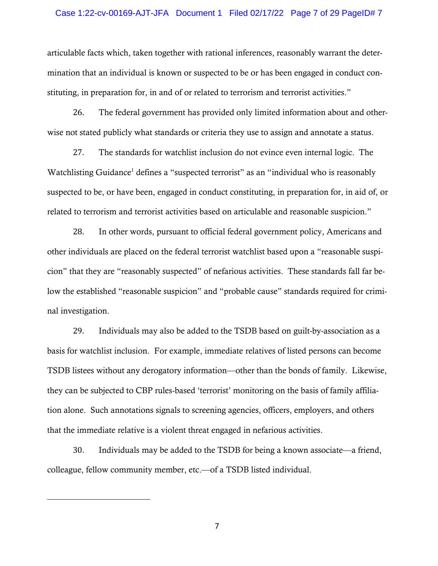### Case 1:22-cv-00169-AJT-JFA Document 1 Filed 02/17/22 Page 7 of 29 PageID# 7

articulable facts which, taken together with rational inferences, reasonably warrant the determination that an individual is known or suspected to be or has been engaged in conduct constituting, in preparation for, in and of or related to terrorism and terrorist activities."

26. The federal government has provided only limited information about and otherwise not stated publicly what standards or criteria they use to assign and annotate a status.

27. The standards for watchlist inclusion do not evince even internal logic. The Watchlisting Guidance<sup>1</sup> defines a "suspected terrorist" as an "individual who is reasonably suspected to be, or have been, engaged in conduct constituting, in preparation for, in aid of, or related to terrorism and terrorist activities based on articulable and reasonable suspicion."

28. In other words, pursuant to official federal government policy, Americans and other individuals are placed on the federal terrorist watchlist based upon a "reasonable suspicion" that they are "reasonably suspected" of nefarious activities. These standards fall far below the established "reasonable suspicion" and "probable cause" standards required for criminal investigation.

29. Individuals may also be added to the TSDB based on guilt-by-association as a basis for watchlist inclusion. For example, immediate relatives of listed persons can become TSDB listees without any derogatory information—other than the bonds of family. Likewise, they can be subjected to CBP rules-based 'terrorist' monitoring on the basis of family affiliation alone. Such annotations signals to screening agencies, officers, employers, and others that the immediate relative is a violent threat engaged in nefarious activities.

30. Individuals may be added to the TSDB for being a known associate—a friend, colleague, fellow community member, etc.—of a TSDB listed individual.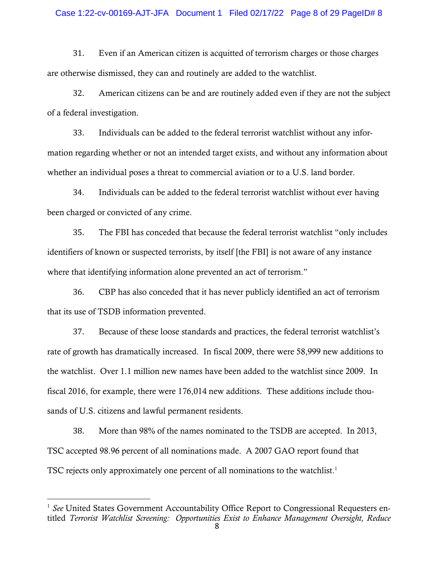31. Even if an American citizen is acquitted of terrorism charges or those charges are otherwise dismissed, they can and routinely are added to the watchlist.

32. American citizens can be and are routinely added even if they are not the subject of a federal investigation.

33. Individuals can be added to the federal terrorist watchlist without any information regarding whether or not an intended target exists, and without any information about whether an individual poses a threat to commercial aviation or to a U.S. land border.

34. Individuals can be added to the federal terrorist watchlist without ever having been charged or convicted of any crime.

35. The FBI has conceded that because the federal terrorist watchlist "only includes identifiers of known or suspected terrorists, by itself [the FBI] is not aware of any instance where that identifying information alone prevented an act of terrorism."

36. CBP has also conceded that it has never publicly identified an act of terrorism that its use of TSDB information prevented.

37. Because of these loose standards and practices, the federal terrorist watchlist's rate of growth has dramatically increased. In fiscal 2009, there were 58,999 new additions to the watchlist. Over 1.1 million new names have been added to the watchlist since 2009. In fiscal 2016, for example, there were 176,014 new additions. These additions include thousands of U.S. citizens and lawful permanent residents.

38. More than 98% of the names nominated to the TSDB are accepted. In 2013, TSC accepted 98.96 percent of all nominations made. A 2007 GAO report found that TSC rejects only approximately one percent of all nominations to the watchlist.<sup>1</sup>

<sup>&</sup>lt;sup>1</sup> *See* United States Government Accountability Office Report to Congressional Requesters entitled *Terrorist Watchlist Screening: Opportunities Exist to Enhance Management Oversight, Reduce*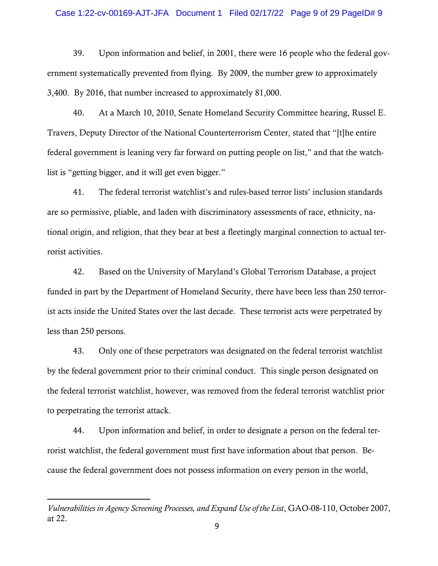### Case 1:22-cv-00169-AJT-JFA Document 1 Filed 02/17/22 Page 9 of 29 PageID# 9

39. Upon information and belief, in 2001, there were 16 people who the federal government systematically prevented from flying. By 2009, the number grew to approximately 3,400. By 2016, that number increased to approximately 81,000.

40. At a March 10, 2010, Senate Homeland Security Committee hearing, Russel E. Travers, Deputy Director of the National Counterterrorism Center, stated that "[t]he entire federal government is leaning very far forward on putting people on list," and that the watchlist is "getting bigger, and it will get even bigger."

41. The federal terrorist watchlist's and rules-based terror lists' inclusion standards are so permissive, pliable, and laden with discriminatory assessments of race, ethnicity, national origin, and religion, that they bear at best a fleetingly marginal connection to actual terrorist activities.

42. Based on the University of Maryland's Global Terrorism Database, a project funded in part by the Department of Homeland Security, there have been less than 250 terrorist acts inside the United States over the last decade. These terrorist acts were perpetrated by less than 250 persons.

43. Only one of these perpetrators was designated on the federal terrorist watchlist by the federal government prior to their criminal conduct. This single person designated on the federal terrorist watchlist, however, was removed from the federal terrorist watchlist prior to perpetrating the terrorist attack.

44. Upon information and belief, in order to designate a person on the federal terrorist watchlist, the federal government must first have information about that person. Because the federal government does not possess information on every person in the world,

*Vulnerabilities in Agency Screening Processes, and Expand Use of the List*, GAO-08-110, October 2007, at 22.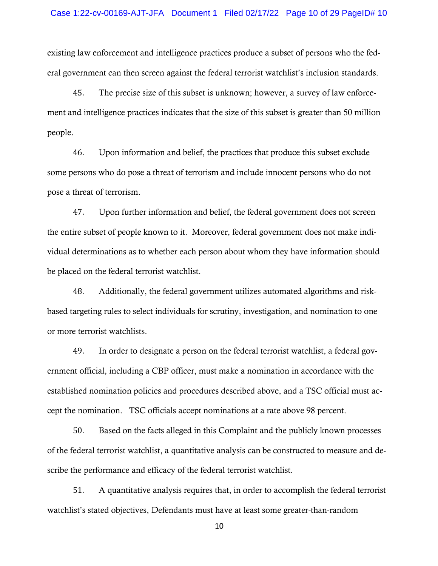existing law enforcement and intelligence practices produce a subset of persons who the federal government can then screen against the federal terrorist watchlist's inclusion standards.

45. The precise size of this subset is unknown; however, a survey of law enforcement and intelligence practices indicates that the size of this subset is greater than 50 million people.

46. Upon information and belief, the practices that produce this subset exclude some persons who do pose a threat of terrorism and include innocent persons who do not pose a threat of terrorism.

47. Upon further information and belief, the federal government does not screen the entire subset of people known to it. Moreover, federal government does not make individual determinations as to whether each person about whom they have information should be placed on the federal terrorist watchlist.

48. Additionally, the federal government utilizes automated algorithms and riskbased targeting rules to select individuals for scrutiny, investigation, and nomination to one or more terrorist watchlists.

49. In order to designate a person on the federal terrorist watchlist, a federal government official, including a CBP officer, must make a nomination in accordance with the established nomination policies and procedures described above, and a TSC official must accept the nomination. TSC officials accept nominations at a rate above 98 percent.

50. Based on the facts alleged in this Complaint and the publicly known processes of the federal terrorist watchlist, a quantitative analysis can be constructed to measure and describe the performance and efficacy of the federal terrorist watchlist.

51. A quantitative analysis requires that, in order to accomplish the federal terrorist watchlist's stated objectives, Defendants must have at least some greater-than-random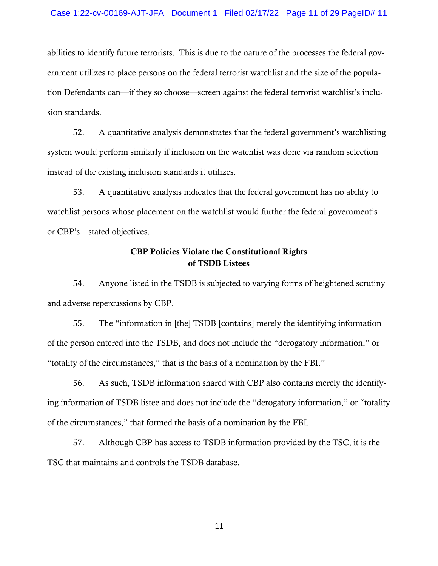abilities to identify future terrorists. This is due to the nature of the processes the federal government utilizes to place persons on the federal terrorist watchlist and the size of the population Defendants can—if they so choose—screen against the federal terrorist watchlist's inclusion standards.

52. A quantitative analysis demonstrates that the federal government's watchlisting system would perform similarly if inclusion on the watchlist was done via random selection instead of the existing inclusion standards it utilizes.

53. A quantitative analysis indicates that the federal government has no ability to watchlist persons whose placement on the watchlist would further the federal government's or CBP's—stated objectives.

# CBP Policies Violate the Constitutional Rights of TSDB Listees

54. Anyone listed in the TSDB is subjected to varying forms of heightened scrutiny and adverse repercussions by CBP.

55. The "information in [the] TSDB [contains] merely the identifying information of the person entered into the TSDB, and does not include the "derogatory information," or "totality of the circumstances," that is the basis of a nomination by the FBI."

56. As such, TSDB information shared with CBP also contains merely the identifying information of TSDB listee and does not include the "derogatory information," or "totality of the circumstances," that formed the basis of a nomination by the FBI.

57. Although CBP has access to TSDB information provided by the TSC, it is the TSC that maintains and controls the TSDB database.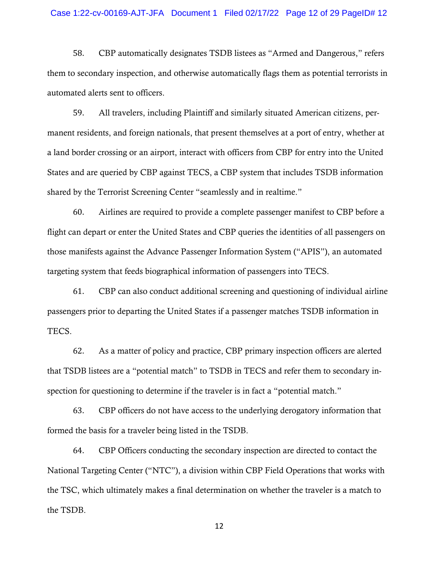### Case 1:22-cv-00169-AJT-JFA Document 1 Filed 02/17/22 Page 12 of 29 PageID# 12

58. CBP automatically designates TSDB listees as "Armed and Dangerous," refers them to secondary inspection, and otherwise automatically flags them as potential terrorists in automated alerts sent to officers.

59. All travelers, including Plaintiff and similarly situated American citizens, permanent residents, and foreign nationals, that present themselves at a port of entry, whether at a land border crossing or an airport, interact with officers from CBP for entry into the United States and are queried by CBP against TECS, a CBP system that includes TSDB information shared by the Terrorist Screening Center "seamlessly and in realtime."

60. Airlines are required to provide a complete passenger manifest to CBP before a flight can depart or enter the United States and CBP queries the identities of all passengers on those manifests against the Advance Passenger Information System ("APIS"), an automated targeting system that feeds biographical information of passengers into TECS.

61. CBP can also conduct additional screening and questioning of individual airline passengers prior to departing the United States if a passenger matches TSDB information in TECS.

62. As a matter of policy and practice, CBP primary inspection officers are alerted that TSDB listees are a "potential match" to TSDB in TECS and refer them to secondary inspection for questioning to determine if the traveler is in fact a "potential match."

63. CBP officers do not have access to the underlying derogatory information that formed the basis for a traveler being listed in the TSDB.

64. CBP Officers conducting the secondary inspection are directed to contact the National Targeting Center ("NTC"), a division within CBP Field Operations that works with the TSC, which ultimately makes a final determination on whether the traveler is a match to the TSDB.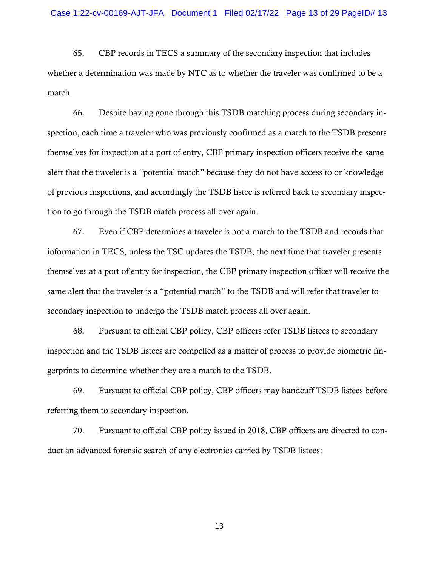65. CBP records in TECS a summary of the secondary inspection that includes whether a determination was made by NTC as to whether the traveler was confirmed to be a match.

66. Despite having gone through this TSDB matching process during secondary inspection, each time a traveler who was previously confirmed as a match to the TSDB presents themselves for inspection at a port of entry, CBP primary inspection officers receive the same alert that the traveler is a "potential match" because they do not have access to or knowledge of previous inspections, and accordingly the TSDB listee is referred back to secondary inspection to go through the TSDB match process all over again.

67. Even if CBP determines a traveler is not a match to the TSDB and records that information in TECS, unless the TSC updates the TSDB, the next time that traveler presents themselves at a port of entry for inspection, the CBP primary inspection officer will receive the same alert that the traveler is a "potential match" to the TSDB and will refer that traveler to secondary inspection to undergo the TSDB match process all over again.

68. Pursuant to official CBP policy, CBP officers refer TSDB listees to secondary inspection and the TSDB listees are compelled as a matter of process to provide biometric fingerprints to determine whether they are a match to the TSDB.

69. Pursuant to official CBP policy, CBP officers may handcuff TSDB listees before referring them to secondary inspection.

70. Pursuant to official CBP policy issued in 2018, CBP officers are directed to conduct an advanced forensic search of any electronics carried by TSDB listees: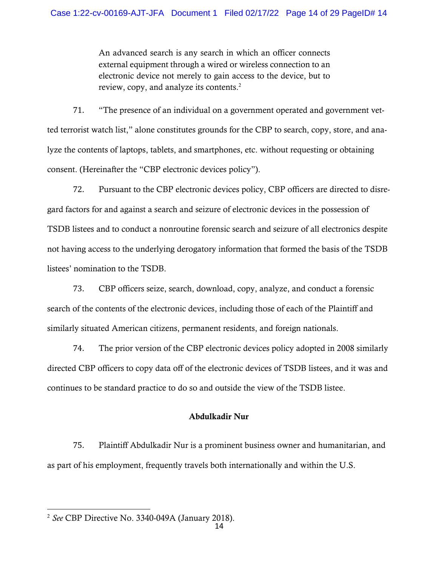An advanced search is any search in which an officer connects external equipment through a wired or wireless connection to an electronic device not merely to gain access to the device, but to review, copy, and analyze its contents.<sup>2</sup>

71. "The presence of an individual on a government operated and government vetted terrorist watch list," alone constitutes grounds for the CBP to search, copy, store, and analyze the contents of laptops, tablets, and smartphones, etc. without requesting or obtaining consent. (Hereinafter the "CBP electronic devices policy").

72. Pursuant to the CBP electronic devices policy, CBP officers are directed to disregard factors for and against a search and seizure of electronic devices in the possession of TSDB listees and to conduct a nonroutine forensic search and seizure of all electronics despite not having access to the underlying derogatory information that formed the basis of the TSDB listees' nomination to the TSDB.

73. CBP officers seize, search, download, copy, analyze, and conduct a forensic search of the contents of the electronic devices, including those of each of the Plaintiff and similarly situated American citizens, permanent residents, and foreign nationals.

74. The prior version of the CBP electronic devices policy adopted in 2008 similarly directed CBP officers to copy data off of the electronic devices of TSDB listees, and it was and continues to be standard practice to do so and outside the view of the TSDB listee.

## Abdulkadir Nur

75. Plaintiff Abdulkadir Nur is a prominent business owner and humanitarian, and as part of his employment, frequently travels both internationally and within the U.S.

<sup>2</sup> *See* CBP Directive No. 3340-049A (January 2018).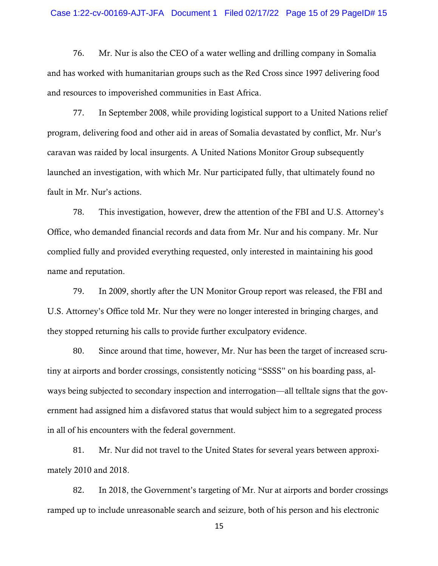#### Case 1:22-cv-00169-AJT-JFA Document 1 Filed 02/17/22 Page 15 of 29 PageID# 15

76. Mr. Nur is also the CEO of a water welling and drilling company in Somalia and has worked with humanitarian groups such as the Red Cross since 1997 delivering food and resources to impoverished communities in East Africa.

77. In September 2008, while providing logistical support to a United Nations relief program, delivering food and other aid in areas of Somalia devastated by conflict, Mr. Nur's caravan was raided by local insurgents. A United Nations Monitor Group subsequently launched an investigation, with which Mr. Nur participated fully, that ultimately found no fault in Mr. Nur's actions.

78. This investigation, however, drew the attention of the FBI and U.S. Attorney's Office, who demanded financial records and data from Mr. Nur and his company. Mr. Nur complied fully and provided everything requested, only interested in maintaining his good name and reputation.

79. In 2009, shortly after the UN Monitor Group report was released, the FBI and U.S. Attorney's Office told Mr. Nur they were no longer interested in bringing charges, and they stopped returning his calls to provide further exculpatory evidence.

80. Since around that time, however, Mr. Nur has been the target of increased scrutiny at airports and border crossings, consistently noticing "SSSS" on his boarding pass, always being subjected to secondary inspection and interrogation—all telltale signs that the government had assigned him a disfavored status that would subject him to a segregated process in all of his encounters with the federal government.

81. Mr. Nur did not travel to the United States for several years between approximately 2010 and 2018.

82. In 2018, the Government's targeting of Mr. Nur at airports and border crossings ramped up to include unreasonable search and seizure, both of his person and his electronic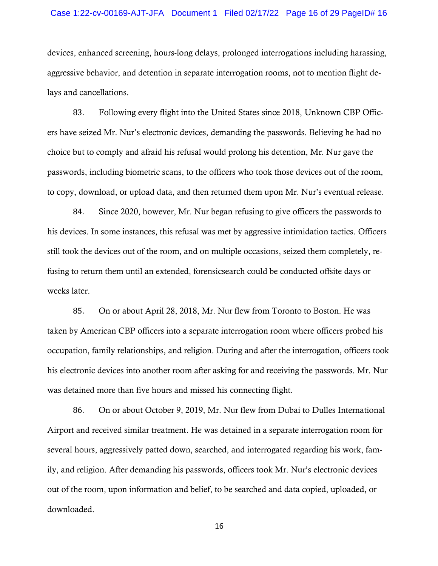#### Case 1:22-cv-00169-AJT-JFA Document 1 Filed 02/17/22 Page 16 of 29 PageID# 16

devices, enhanced screening, hours-long delays, prolonged interrogations including harassing, aggressive behavior, and detention in separate interrogation rooms, not to mention flight delays and cancellations.

83. Following every flight into the United States since 2018, Unknown CBP Officers have seized Mr. Nur's electronic devices, demanding the passwords. Believing he had no choice but to comply and afraid his refusal would prolong his detention, Mr. Nur gave the passwords, including biometric scans, to the officers who took those devices out of the room, to copy, download, or upload data, and then returned them upon Mr. Nur's eventual release.

84. Since 2020, however, Mr. Nur began refusing to give officers the passwords to his devices. In some instances, this refusal was met by aggressive intimidation tactics. Officers still took the devices out of the room, and on multiple occasions, seized them completely, refusing to return them until an extended, forensicsearch could be conducted offsite days or weeks later.

85. On or about April 28, 2018, Mr. Nur flew from Toronto to Boston. He was taken by American CBP officers into a separate interrogation room where officers probed his occupation, family relationships, and religion. During and after the interrogation, officers took his electronic devices into another room after asking for and receiving the passwords. Mr. Nur was detained more than five hours and missed his connecting flight.

86. On or about October 9, 2019, Mr. Nur flew from Dubai to Dulles International Airport and received similar treatment. He was detained in a separate interrogation room for several hours, aggressively patted down, searched, and interrogated regarding his work, family, and religion. After demanding his passwords, officers took Mr. Nur's electronic devices out of the room, upon information and belief, to be searched and data copied, uploaded, or downloaded.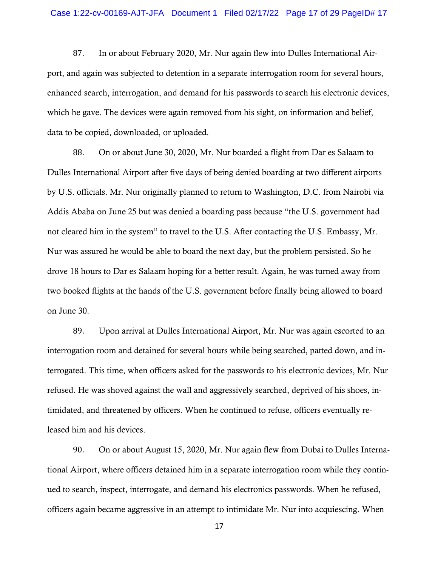87. In or about February 2020, Mr. Nur again flew into Dulles International Airport, and again was subjected to detention in a separate interrogation room for several hours, enhanced search, interrogation, and demand for his passwords to search his electronic devices, which he gave. The devices were again removed from his sight, on information and belief, data to be copied, downloaded, or uploaded.

88. On or about June 30, 2020, Mr. Nur boarded a flight from Dar es Salaam to Dulles International Airport after five days of being denied boarding at two different airports by U.S. officials. Mr. Nur originally planned to return to Washington, D.C. from Nairobi via Addis Ababa on June 25 but was denied a boarding pass because "the U.S. government had not cleared him in the system" to travel to the U.S. After contacting the U.S. Embassy, Mr. Nur was assured he would be able to board the next day, but the problem persisted. So he drove 18 hours to Dar es Salaam hoping for a better result. Again, he was turned away from two booked flights at the hands of the U.S. government before finally being allowed to board on June 30.

89. Upon arrival at Dulles International Airport, Mr. Nur was again escorted to an interrogation room and detained for several hours while being searched, patted down, and interrogated. This time, when officers asked for the passwords to his electronic devices, Mr. Nur refused. He was shoved against the wall and aggressively searched, deprived of his shoes, intimidated, and threatened by officers. When he continued to refuse, officers eventually released him and his devices.

90. On or about August 15, 2020, Mr. Nur again flew from Dubai to Dulles International Airport, where officers detained him in a separate interrogation room while they continued to search, inspect, interrogate, and demand his electronics passwords. When he refused, officers again became aggressive in an attempt to intimidate Mr. Nur into acquiescing. When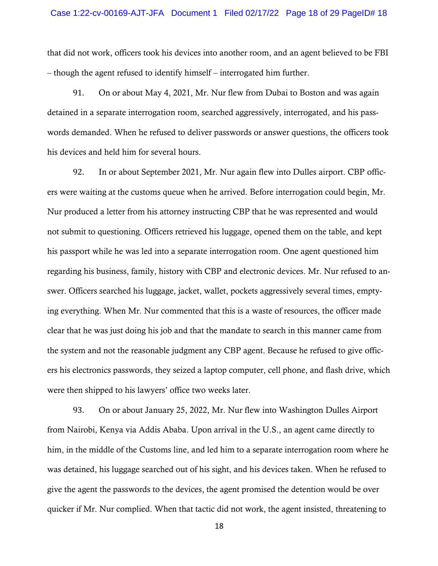that did not work, officers took his devices into another room, and an agent believed to be FBI – though the agent refused to identify himself – interrogated him further.

91. On or about May 4, 2021, Mr. Nur flew from Dubai to Boston and was again detained in a separate interrogation room, searched aggressively, interrogated, and his passwords demanded. When he refused to deliver passwords or answer questions, the officers took his devices and held him for several hours.

92. In or about September 2021, Mr. Nur again flew into Dulles airport. CBP officers were waiting at the customs queue when he arrived. Before interrogation could begin, Mr. Nur produced a letter from his attorney instructing CBP that he was represented and would not submit to questioning. Officers retrieved his luggage, opened them on the table, and kept his passport while he was led into a separate interrogation room. One agent questioned him regarding his business, family, history with CBP and electronic devices. Mr. Nur refused to answer. Officers searched his luggage, jacket, wallet, pockets aggressively several times, emptying everything. When Mr. Nur commented that this is a waste of resources, the officer made clear that he was just doing his job and that the mandate to search in this manner came from the system and not the reasonable judgment any CBP agent. Because he refused to give officers his electronics passwords, they seized a laptop computer, cell phone, and flash drive, which were then shipped to his lawyers' office two weeks later.

93. On or about January 25, 2022, Mr. Nur flew into Washington Dulles Airport from Nairobi, Kenya via Addis Ababa. Upon arrival in the U.S., an agent came directly to him, in the middle of the Customs line, and led him to a separate interrogation room where he was detained, his luggage searched out of his sight, and his devices taken. When he refused to give the agent the passwords to the devices, the agent promised the detention would be over quicker if Mr. Nur complied. When that tactic did not work, the agent insisted, threatening to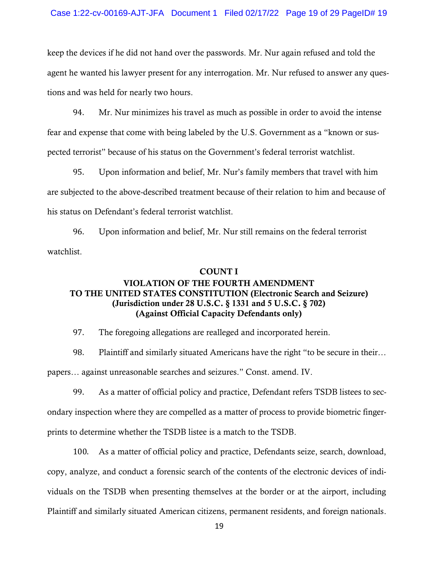keep the devices if he did not hand over the passwords. Mr. Nur again refused and told the agent he wanted his lawyer present for any interrogation. Mr. Nur refused to answer any questions and was held for nearly two hours.

94. Mr. Nur minimizes his travel as much as possible in order to avoid the intense fear and expense that come with being labeled by the U.S. Government as a "known or suspected terrorist" because of his status on the Government's federal terrorist watchlist.

95. Upon information and belief, Mr. Nur's family members that travel with him are subjected to the above-described treatment because of their relation to him and because of his status on Defendant's federal terrorist watchlist.

96. Upon information and belief, Mr. Nur still remains on the federal terrorist watchlist.

### COUNT I

# VIOLATION OF THE FOURTH AMENDMENT TO THE UNITED STATES CONSTITUTION (Electronic Search and Seizure) (Jurisdiction under 28 U.S.C. § 1331 and 5 U.S.C. § 702) (Against Official Capacity Defendants only)

97. The foregoing allegations are realleged and incorporated herein.

98. Plaintiff and similarly situated Americans have the right "to be secure in their… papers… against unreasonable searches and seizures." Const. amend. IV.

99. As a matter of official policy and practice, Defendant refers TSDB listees to secondary inspection where they are compelled as a matter of process to provide biometric fingerprints to determine whether the TSDB listee is a match to the TSDB.

100. As a matter of official policy and practice, Defendants seize, search, download, copy, analyze, and conduct a forensic search of the contents of the electronic devices of individuals on the TSDB when presenting themselves at the border or at the airport, including Plaintiff and similarly situated American citizens, permanent residents, and foreign nationals.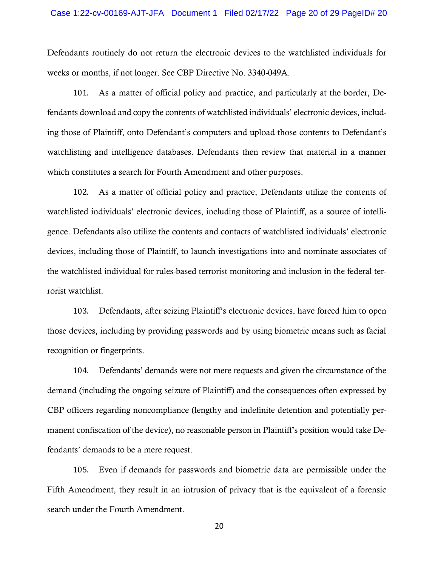Defendants routinely do not return the electronic devices to the watchlisted individuals for weeks or months, if not longer. See CBP Directive No. 3340-049A.

101. As a matter of official policy and practice, and particularly at the border, Defendants download and copy the contents of watchlisted individuals' electronic devices, including those of Plaintiff, onto Defendant's computers and upload those contents to Defendant's watchlisting and intelligence databases. Defendants then review that material in a manner which constitutes a search for Fourth Amendment and other purposes.

102. As a matter of official policy and practice, Defendants utilize the contents of watchlisted individuals' electronic devices, including those of Plaintiff, as a source of intelligence. Defendants also utilize the contents and contacts of watchlisted individuals' electronic devices, including those of Plaintiff, to launch investigations into and nominate associates of the watchlisted individual for rules-based terrorist monitoring and inclusion in the federal terrorist watchlist.

103. Defendants, after seizing Plaintiff's electronic devices, have forced him to open those devices, including by providing passwords and by using biometric means such as facial recognition or fingerprints.

104. Defendants' demands were not mere requests and given the circumstance of the demand (including the ongoing seizure of Plaintiff) and the consequences often expressed by CBP officers regarding noncompliance (lengthy and indefinite detention and potentially permanent confiscation of the device), no reasonable person in Plaintiff's position would take Defendants' demands to be a mere request.

105. Even if demands for passwords and biometric data are permissible under the Fifth Amendment, they result in an intrusion of privacy that is the equivalent of a forensic search under the Fourth Amendment.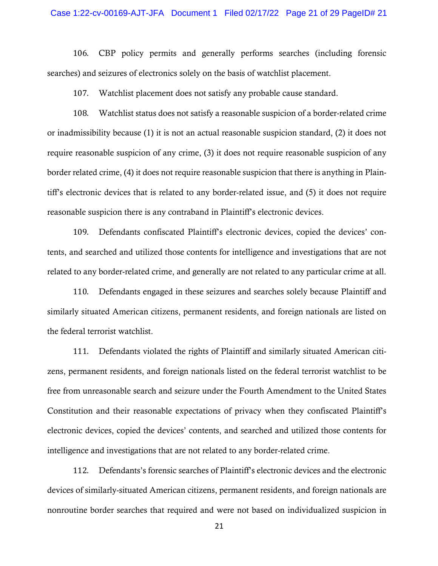106. CBP policy permits and generally performs searches (including forensic searches) and seizures of electronics solely on the basis of watchlist placement.

107. Watchlist placement does not satisfy any probable cause standard.

108. Watchlist status does not satisfy a reasonable suspicion of a border-related crime or inadmissibility because (1) it is not an actual reasonable suspicion standard, (2) it does not require reasonable suspicion of any crime, (3) it does not require reasonable suspicion of any border related crime, (4) it does not require reasonable suspicion that there is anything in Plaintiff's electronic devices that is related to any border-related issue, and (5) it does not require reasonable suspicion there is any contraband in Plaintiff's electronic devices.

109. Defendants confiscated Plaintiff's electronic devices, copied the devices' contents, and searched and utilized those contents for intelligence and investigations that are not related to any border-related crime, and generally are not related to any particular crime at all.

110. Defendants engaged in these seizures and searches solely because Plaintiff and similarly situated American citizens, permanent residents, and foreign nationals are listed on the federal terrorist watchlist.

111. Defendants violated the rights of Plaintiff and similarly situated American citizens, permanent residents, and foreign nationals listed on the federal terrorist watchlist to be free from unreasonable search and seizure under the Fourth Amendment to the United States Constitution and their reasonable expectations of privacy when they confiscated Plaintiff's electronic devices, copied the devices' contents, and searched and utilized those contents for intelligence and investigations that are not related to any border-related crime.

112. Defendants's forensic searches of Plaintiff's electronic devices and the electronic devices of similarly-situated American citizens, permanent residents, and foreign nationals are nonroutine border searches that required and were not based on individualized suspicion in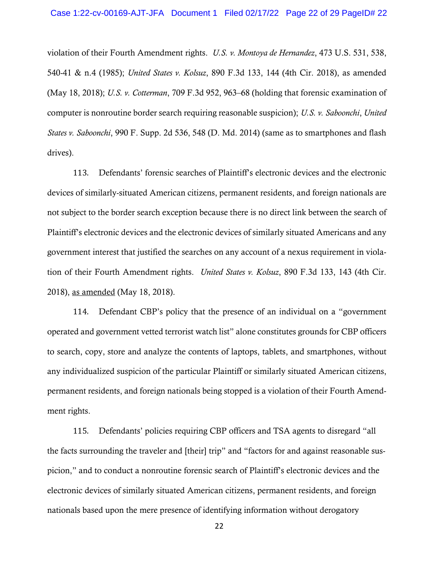violation of their Fourth Amendment rights. *U.S. v. Montoya de Hernandez*, 473 U.S. 531, 538, 540-41 & n.4 (1985); *United States v. Kolsuz*, 890 F.3d 133, 144 (4th Cir. 2018), as amended (May 18, 2018); *U.S. v. Cotterman*, 709 F.3d 952, 963–68 (holding that forensic examination of computer is nonroutine border search requiring reasonable suspicion); *U.S. v. Saboonchi*, *United States v. Saboonchi*, 990 F. Supp. 2d 536, 548 (D. Md. 2014) (same as to smartphones and flash drives).

113. Defendants' forensic searches of Plaintiff's electronic devices and the electronic devices of similarly-situated American citizens, permanent residents, and foreign nationals are not subject to the border search exception because there is no direct link between the search of Plaintiff's electronic devices and the electronic devices of similarly situated Americans and any government interest that justified the searches on any account of a nexus requirement in violation of their Fourth Amendment rights. *United States v. Kolsuz*, 890 F.3d 133, 143 (4th Cir. 2018), as amended (May 18, 2018).

114. Defendant CBP's policy that the presence of an individual on a "government operated and government vetted terrorist watch list" alone constitutes grounds for CBP officers to search, copy, store and analyze the contents of laptops, tablets, and smartphones, without any individualized suspicion of the particular Plaintiff or similarly situated American citizens, permanent residents, and foreign nationals being stopped is a violation of their Fourth Amendment rights.

115. Defendants' policies requiring CBP officers and TSA agents to disregard "all the facts surrounding the traveler and [their] trip" and "factors for and against reasonable suspicion," and to conduct a nonroutine forensic search of Plaintiff's electronic devices and the electronic devices of similarly situated American citizens, permanent residents, and foreign nationals based upon the mere presence of identifying information without derogatory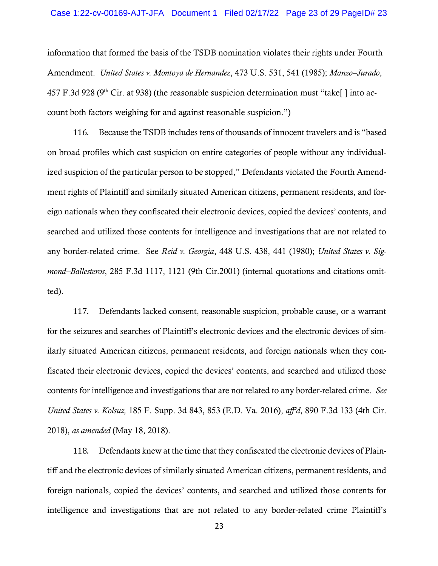information that formed the basis of the TSDB nomination violates their rights under Fourth Amendment. *United States v. Montoya de Hernandez*, 473 U.S. 531, 541 (1985); *Manzo–Jurado*, 457 F.3d 928 ( $9<sup>th</sup>$  Cir. at 938) (the reasonable suspicion determination must "take[ ] into account both factors weighing for and against reasonable suspicion.")

116. Because the TSDB includes tens of thousands of innocent travelers and is "based on broad profiles which cast suspicion on entire categories of people without any individualized suspicion of the particular person to be stopped," Defendants violated the Fourth Amendment rights of Plaintiff and similarly situated American citizens, permanent residents, and foreign nationals when they confiscated their electronic devices, copied the devices' contents, and searched and utilized those contents for intelligence and investigations that are not related to any border-related crime. See *Reid v. Georgia*, 448 U.S. 438, 441 (1980); *United States v. Sigmond–Ballesteros*, 285 F.3d 1117, 1121 (9th Cir.2001) (internal quotations and citations omitted).

117. Defendants lacked consent, reasonable suspicion, probable cause, or a warrant for the seizures and searches of Plaintiff's electronic devices and the electronic devices of similarly situated American citizens, permanent residents, and foreign nationals when they confiscated their electronic devices, copied the devices' contents, and searched and utilized those contents for intelligence and investigations that are not related to any border-related crime. *See United States v. Kolsuz,* 185 F. Supp. 3d 843, 853 (E.D. Va. 2016), *aff'd*, 890 F.3d 133 (4th Cir. 2018), *as amended* (May 18, 2018).

118. Defendants knew at the time that they confiscated the electronic devices of Plaintiff and the electronic devices of similarly situated American citizens, permanent residents, and foreign nationals, copied the devices' contents, and searched and utilized those contents for intelligence and investigations that are not related to any border-related crime Plaintiff's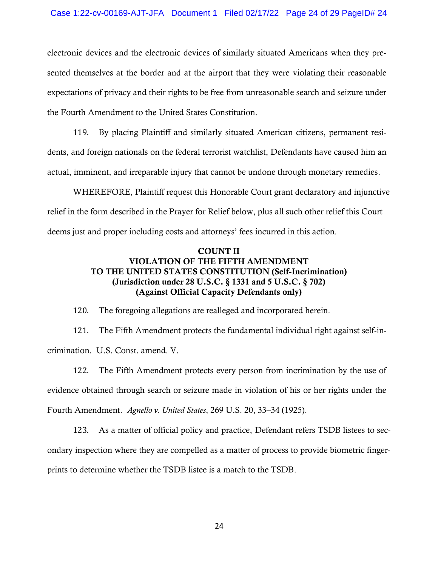electronic devices and the electronic devices of similarly situated Americans when they presented themselves at the border and at the airport that they were violating their reasonable expectations of privacy and their rights to be free from unreasonable search and seizure under the Fourth Amendment to the United States Constitution.

119. By placing Plaintiff and similarly situated American citizens, permanent residents, and foreign nationals on the federal terrorist watchlist, Defendants have caused him an actual, imminent, and irreparable injury that cannot be undone through monetary remedies.

WHEREFORE, Plaintiff request this Honorable Court grant declaratory and injunctive relief in the form described in the Prayer for Relief below, plus all such other relief this Court deems just and proper including costs and attorneys' fees incurred in this action.

## COUNT II VIOLATION OF THE FIFTH AMENDMENT TO THE UNITED STATES CONSTITUTION (Self-Incrimination) (Jurisdiction under 28 U.S.C. § 1331 and 5 U.S.C. § 702) (Against Official Capacity Defendants only)

120. The foregoing allegations are realleged and incorporated herein.

121. The Fifth Amendment protects the fundamental individual right against self-incrimination. U.S. Const. amend. V.

122. The Fifth Amendment protects every person from incrimination by the use of evidence obtained through search or seizure made in violation of his or her rights under the Fourth Amendment. *Agnello v. United States*, 269 U.S. 20, 33–34 (1925).

123. As a matter of official policy and practice, Defendant refers TSDB listees to secondary inspection where they are compelled as a matter of process to provide biometric fingerprints to determine whether the TSDB listee is a match to the TSDB.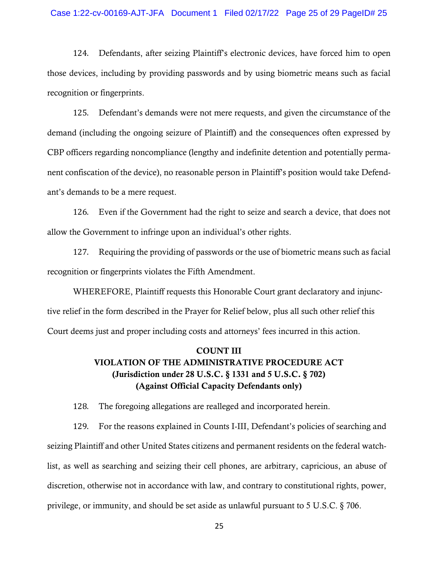#### Case 1:22-cv-00169-AJT-JFA Document 1 Filed 02/17/22 Page 25 of 29 PageID# 25

124. Defendants, after seizing Plaintiff's electronic devices, have forced him to open those devices, including by providing passwords and by using biometric means such as facial recognition or fingerprints.

125. Defendant's demands were not mere requests, and given the circumstance of the demand (including the ongoing seizure of Plaintiff) and the consequences often expressed by CBP officers regarding noncompliance (lengthy and indefinite detention and potentially permanent confiscation of the device), no reasonable person in Plaintiff's position would take Defendant's demands to be a mere request.

126. Even if the Government had the right to seize and search a device, that does not allow the Government to infringe upon an individual's other rights.

127. Requiring the providing of passwords or the use of biometric means such as facial recognition or fingerprints violates the Fifth Amendment.

WHEREFORE, Plaintiff requests this Honorable Court grant declaratory and injunctive relief in the form described in the Prayer for Relief below, plus all such other relief this Court deems just and proper including costs and attorneys' fees incurred in this action.

# COUNT III VIOLATION OF THE ADMINISTRATIVE PROCEDURE ACT (Jurisdiction under 28 U.S.C. § 1331 and 5 U.S.C. § 702) (Against Official Capacity Defendants only)

128. The foregoing allegations are realleged and incorporated herein.

129. For the reasons explained in Counts I-III, Defendant's policies of searching and seizing Plaintiff and other United States citizens and permanent residents on the federal watchlist, as well as searching and seizing their cell phones, are arbitrary, capricious, an abuse of discretion, otherwise not in accordance with law, and contrary to constitutional rights, power, privilege, or immunity, and should be set aside as unlawful pursuant to 5 U.S.C. § 706.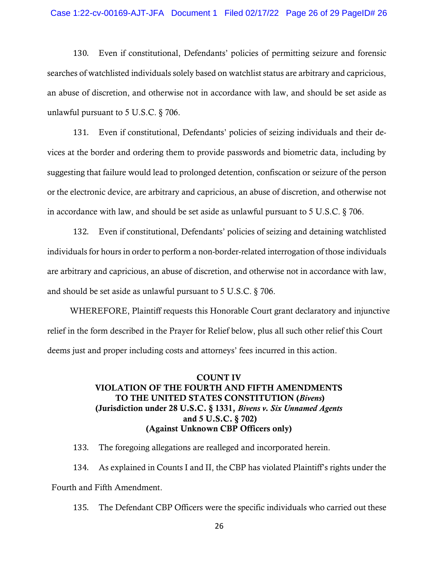#### Case 1:22-cv-00169-AJT-JFA Document 1 Filed 02/17/22 Page 26 of 29 PageID# 26

130. Even if constitutional, Defendants' policies of permitting seizure and forensic searches of watchlisted individuals solely based on watchlist status are arbitrary and capricious, an abuse of discretion, and otherwise not in accordance with law, and should be set aside as unlawful pursuant to 5 U.S.C. § 706.

131. Even if constitutional, Defendants' policies of seizing individuals and their devices at the border and ordering them to provide passwords and biometric data, including by suggesting that failure would lead to prolonged detention, confiscation or seizure of the person or the electronic device, are arbitrary and capricious, an abuse of discretion, and otherwise not in accordance with law, and should be set aside as unlawful pursuant to 5 U.S.C. § 706.

132. Even if constitutional, Defendants' policies of seizing and detaining watchlisted individuals for hours in order to perform a non-border-related interrogation of those individuals are arbitrary and capricious, an abuse of discretion, and otherwise not in accordance with law, and should be set aside as unlawful pursuant to 5 U.S.C. § 706.

WHEREFORE, Plaintiff requests this Honorable Court grant declaratory and injunctive relief in the form described in the Prayer for Relief below, plus all such other relief this Court deems just and proper including costs and attorneys' fees incurred in this action.

## COUNT IV VIOLATION OF THE FOURTH AND FIFTH AMENDMENTS TO THE UNITED STATES CONSTITUTION (*Bivens*) (Jurisdiction under 28 U.S.C. § 1331, *Bivens v. Six Unnamed Agents* and 5 U.S.C. § 702) (Against Unknown CBP Officers only)

133. The foregoing allegations are realleged and incorporated herein.

134. As explained in Counts I and II, the CBP has violated Plaintiff's rights under the Fourth and Fifth Amendment.

135. The Defendant CBP Officers were the specific individuals who carried out these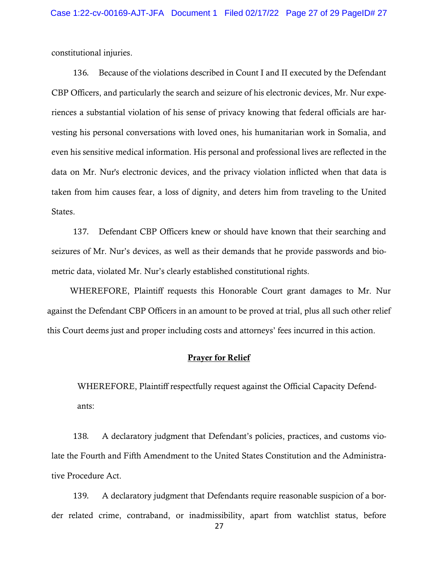constitutional injuries.

136. Because of the violations described in Count I and II executed by the Defendant CBP Officers, and particularly the search and seizure of his electronic devices, Mr. Nur experiences a substantial violation of his sense of privacy knowing that federal officials are harvesting his personal conversations with loved ones, his humanitarian work in Somalia, and even his sensitive medical information. His personal and professional lives are reflected in the data on Mr. Nur's electronic devices, and the privacy violation inflicted when that data is taken from him causes fear, a loss of dignity, and deters him from traveling to the United States.

137. Defendant CBP Officers knew or should have known that their searching and seizures of Mr. Nur's devices, as well as their demands that he provide passwords and biometric data, violated Mr. Nur's clearly established constitutional rights.

WHEREFORE, Plaintiff requests this Honorable Court grant damages to Mr. Nur against the Defendant CBP Officers in an amount to be proved at trial, plus all such other relief this Court deems just and proper including costs and attorneys' fees incurred in this action.

### Prayer for Relief

WHEREFORE, Plaintiff respectfully request against the Official Capacity Defendants:

138. A declaratory judgment that Defendant's policies, practices, and customs violate the Fourth and Fifth Amendment to the United States Constitution and the Administrative Procedure Act.

139. A declaratory judgment that Defendants require reasonable suspicion of a border related crime, contraband, or inadmissibility, apart from watchlist status, before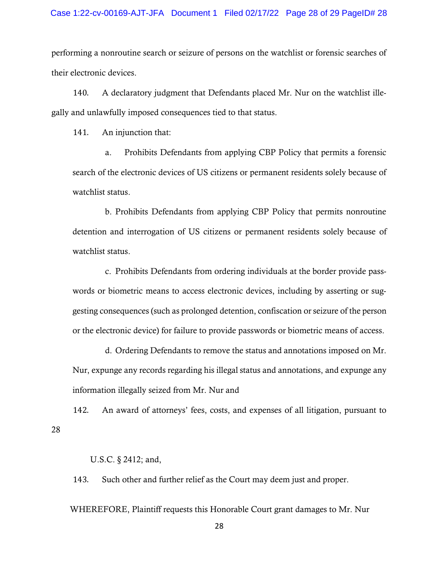performing a nonroutine search or seizure of persons on the watchlist or forensic searches of their electronic devices.

140. A declaratory judgment that Defendants placed Mr. Nur on the watchlist illegally and unlawfully imposed consequences tied to that status.

141. An injunction that:

a. Prohibits Defendants from applying CBP Policy that permits a forensic search of the electronic devices of US citizens or permanent residents solely because of watchlist status.

b. Prohibits Defendants from applying CBP Policy that permits nonroutine detention and interrogation of US citizens or permanent residents solely because of watchlist status.

c. Prohibits Defendants from ordering individuals at the border provide passwords or biometric means to access electronic devices, including by asserting or suggesting consequences (such as prolonged detention, confiscation or seizure of the person or the electronic device) for failure to provide passwords or biometric means of access.

d. Ordering Defendants to remove the status and annotations imposed on Mr. Nur, expunge any records regarding his illegal status and annotations, and expunge any information illegally seized from Mr. Nur and

142. An award of attorneys' fees, costs, and expenses of all litigation, pursuant to

U.S.C. § 2412; and,

28

143. Such other and further relief as the Court may deem just and proper.

WHEREFORE, Plaintiff requests this Honorable Court grant damages to Mr. Nur